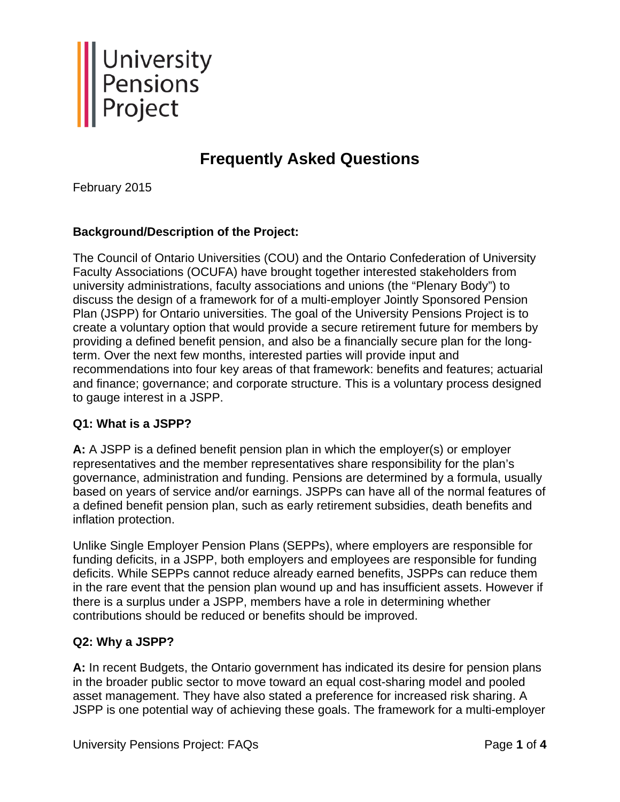

# **Frequently Asked Questions**

February 2015

# **Background/Description of the Project:**

The Council of Ontario Universities (COU) and the Ontario Confederation of University Faculty Associations (OCUFA) have brought together interested stakeholders from university administrations, faculty associations and unions (the "Plenary Body") to discuss the design of a framework for of a multi-employer Jointly Sponsored Pension Plan (JSPP) for Ontario universities. The goal of the University Pensions Project is to create a voluntary option that would provide a secure retirement future for members by providing a defined benefit pension, and also be a financially secure plan for the longterm. Over the next few months, interested parties will provide input and recommendations into four key areas of that framework: benefits and features; actuarial and finance; governance; and corporate structure. This is a voluntary process designed to gauge interest in a JSPP.

#### **Q1: What is a JSPP?**

**A:** A JSPP is a defined benefit pension plan in which the employer(s) or employer representatives and the member representatives share responsibility for the plan's governance, administration and funding. Pensions are determined by a formula, usually based on years of service and/or earnings. JSPPs can have all of the normal features of a defined benefit pension plan, such as early retirement subsidies, death benefits and inflation protection.

Unlike Single Employer Pension Plans (SEPPs), where employers are responsible for funding deficits, in a JSPP, both employers and employees are responsible for funding deficits. While SEPPs cannot reduce already earned benefits, JSPPs can reduce them in the rare event that the pension plan wound up and has insufficient assets. However if there is a surplus under a JSPP, members have a role in determining whether contributions should be reduced or benefits should be improved.

#### **Q2: Why a JSPP?**

**A:** In recent Budgets, the Ontario government has indicated its desire for pension plans in the broader public sector to move toward an equal cost-sharing model and pooled asset management. They have also stated a preference for increased risk sharing. A JSPP is one potential way of achieving these goals. The framework for a multi-employer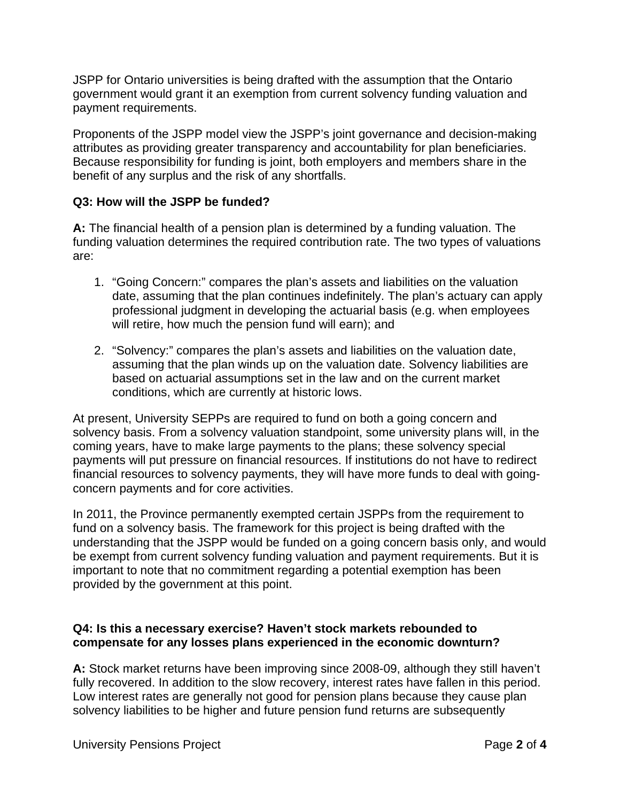JSPP for Ontario universities is being drafted with the assumption that the Ontario government would grant it an exemption from current solvency funding valuation and payment requirements.

Proponents of the JSPP model view the JSPP's joint governance and decision-making attributes as providing greater transparency and accountability for plan beneficiaries. Because responsibility for funding is joint, both employers and members share in the benefit of any surplus and the risk of any shortfalls.

# **Q3: How will the JSPP be funded?**

**A:** The financial health of a pension plan is determined by a funding valuation. The funding valuation determines the required contribution rate. The two types of valuations are:

- 1. "Going Concern:" compares the plan's assets and liabilities on the valuation date, assuming that the plan continues indefinitely. The plan's actuary can apply professional judgment in developing the actuarial basis (e.g. when employees will retire, how much the pension fund will earn); and
- 2. "Solvency:" compares the plan's assets and liabilities on the valuation date, assuming that the plan winds up on the valuation date. Solvency liabilities are based on actuarial assumptions set in the law and on the current market conditions, which are currently at historic lows.

At present, University SEPPs are required to fund on both a going concern and solvency basis. From a solvency valuation standpoint, some university plans will, in the coming years, have to make large payments to the plans; these solvency special payments will put pressure on financial resources. If institutions do not have to redirect financial resources to solvency payments, they will have more funds to deal with goingconcern payments and for core activities.

In 2011, the Province permanently exempted certain JSPPs from the requirement to fund on a solvency basis. The framework for this project is being drafted with the understanding that the JSPP would be funded on a going concern basis only, and would be exempt from current solvency funding valuation and payment requirements. But it is important to note that no commitment regarding a potential exemption has been provided by the government at this point.

#### **Q4: Is this a necessary exercise? Haven't stock markets rebounded to compensate for any losses plans experienced in the economic downturn?**

**A:** Stock market returns have been improving since 2008-09, although they still haven't fully recovered. In addition to the slow recovery, interest rates have fallen in this period. Low interest rates are generally not good for pension plans because they cause plan solvency liabilities to be higher and future pension fund returns are subsequently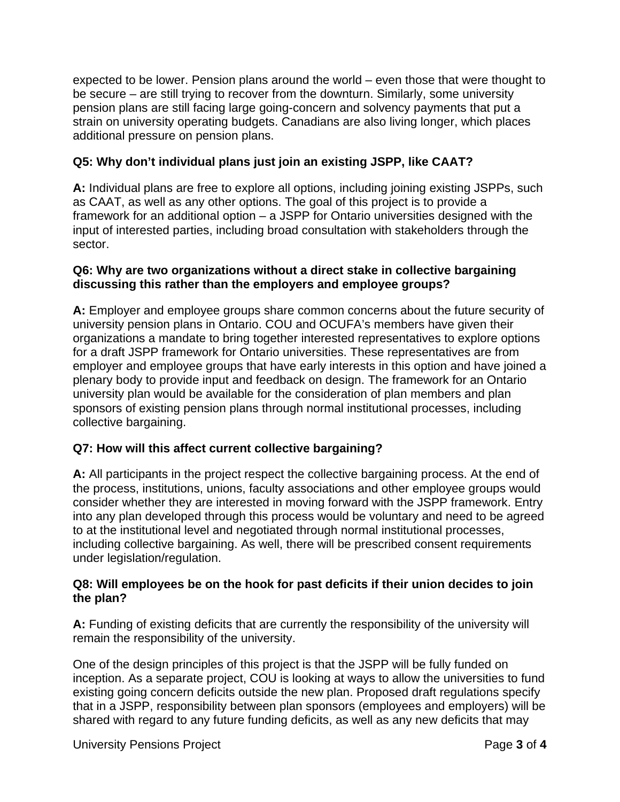expected to be lower. Pension plans around the world – even those that were thought to be secure – are still trying to recover from the downturn. Similarly, some university pension plans are still facing large going-concern and solvency payments that put a strain on university operating budgets. Canadians are also living longer, which places additional pressure on pension plans.

# **Q5: Why don't individual plans just join an existing JSPP, like CAAT?**

**A:** Individual plans are free to explore all options, including joining existing JSPPs, such as CAAT, as well as any other options. The goal of this project is to provide a framework for an additional option – a JSPP for Ontario universities designed with the input of interested parties, including broad consultation with stakeholders through the sector.

# **Q6: Why are two organizations without a direct stake in collective bargaining discussing this rather than the employers and employee groups?**

**A:** Employer and employee groups share common concerns about the future security of university pension plans in Ontario. COU and OCUFA's members have given their organizations a mandate to bring together interested representatives to explore options for a draft JSPP framework for Ontario universities. These representatives are from employer and employee groups that have early interests in this option and have joined a plenary body to provide input and feedback on design. The framework for an Ontario university plan would be available for the consideration of plan members and plan sponsors of existing pension plans through normal institutional processes, including collective bargaining.

# **Q7: How will this affect current collective bargaining?**

**A:** All participants in the project respect the collective bargaining process. At the end of the process, institutions, unions, faculty associations and other employee groups would consider whether they are interested in moving forward with the JSPP framework. Entry into any plan developed through this process would be voluntary and need to be agreed to at the institutional level and negotiated through normal institutional processes, including collective bargaining. As well, there will be prescribed consent requirements under legislation/regulation.

# **Q8: Will employees be on the hook for past deficits if their union decides to join the plan?**

**A:** Funding of existing deficits that are currently the responsibility of the university will remain the responsibility of the university.

One of the design principles of this project is that the JSPP will be fully funded on inception. As a separate project, COU is looking at ways to allow the universities to fund existing going concern deficits outside the new plan. Proposed draft regulations specify that in a JSPP, responsibility between plan sponsors (employees and employers) will be shared with regard to any future funding deficits, as well as any new deficits that may